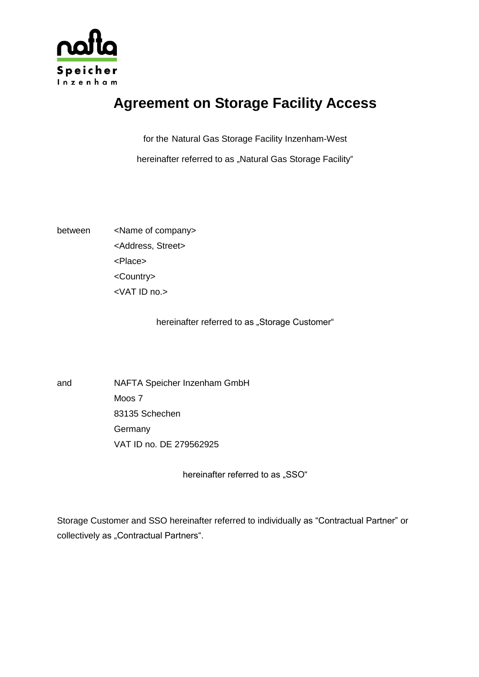

# **Agreement on Storage Facility Access**

for the Natural Gas Storage Facility Inzenham-West

hereinafter referred to as "Natural Gas Storage Facility"

between <Name of company> <Address, Street> <Place> <Country> <VAT ID no.>

hereinafter referred to as "Storage Customer"

and NAFTA Speicher Inzenham GmbH Moos 7 83135 Schechen **Germany** VAT ID no. DE 279562925

hereinafter referred to as "SSO"

Storage Customer and SSO hereinafter referred to individually as "Contractual Partner" or collectively as "Contractual Partners".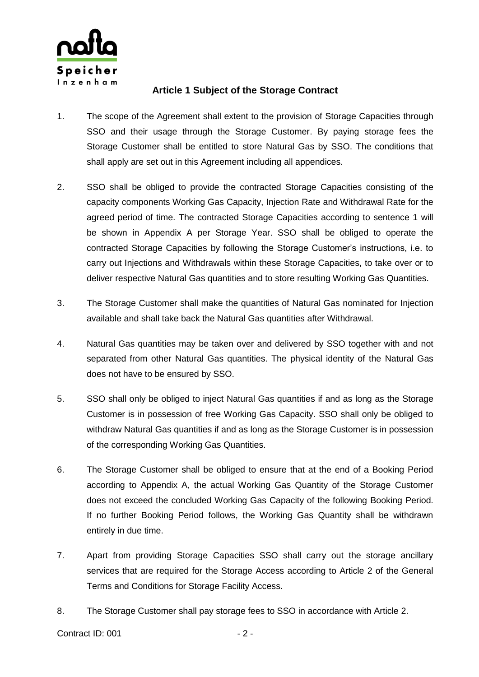

## **Article 1 Subject of the Storage Contract**

- 1. The scope of the Agreement shall extent to the provision of Storage Capacities through SSO and their usage through the Storage Customer. By paying storage fees the Storage Customer shall be entitled to store Natural Gas by SSO. The conditions that shall apply are set out in this Agreement including all appendices.
- 2. SSO shall be obliged to provide the contracted Storage Capacities consisting of the capacity components Working Gas Capacity, Injection Rate and Withdrawal Rate for the agreed period of time. The contracted Storage Capacities according to sentence 1 will be shown in Appendix A per Storage Year. SSO shall be obliged to operate the contracted Storage Capacities by following the Storage Customer's instructions, i.e. to carry out Injections and Withdrawals within these Storage Capacities, to take over or to deliver respective Natural Gas quantities and to store resulting Working Gas Quantities.
- 3. The Storage Customer shall make the quantities of Natural Gas nominated for Injection available and shall take back the Natural Gas quantities after Withdrawal.
- 4. Natural Gas quantities may be taken over and delivered by SSO together with and not separated from other Natural Gas quantities. The physical identity of the Natural Gas does not have to be ensured by SSO.
- 5. SSO shall only be obliged to inject Natural Gas quantities if and as long as the Storage Customer is in possession of free Working Gas Capacity. SSO shall only be obliged to withdraw Natural Gas quantities if and as long as the Storage Customer is in possession of the corresponding Working Gas Quantities.
- 6. The Storage Customer shall be obliged to ensure that at the end of a Booking Period according to Appendix A, the actual Working Gas Quantity of the Storage Customer does not exceed the concluded Working Gas Capacity of the following Booking Period. If no further Booking Period follows, the Working Gas Quantity shall be withdrawn entirely in due time.
- 7. Apart from providing Storage Capacities SSO shall carry out the storage ancillary services that are required for the Storage Access according to Article 2 of the General Terms and Conditions for Storage Facility Access.
- 8. The Storage Customer shall pay storage fees to SSO in accordance with Article 2.

Contract ID: 001 - 2 -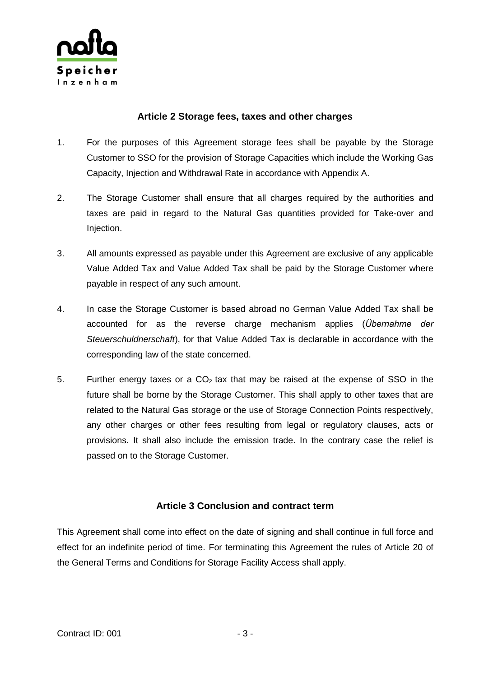

### **Article 2 Storage fees, taxes and other charges**

- 1. For the purposes of this Agreement storage fees shall be payable by the Storage Customer to SSO for the provision of Storage Capacities which include the Working Gas Capacity, Injection and Withdrawal Rate in accordance with Appendix A.
- 2. The Storage Customer shall ensure that all charges required by the authorities and taxes are paid in regard to the Natural Gas quantities provided for Take-over and Injection.
- 3. All amounts expressed as payable under this Agreement are exclusive of any applicable Value Added Tax and Value Added Tax shall be paid by the Storage Customer where payable in respect of any such amount.
- 4. In case the Storage Customer is based abroad no German Value Added Tax shall be accounted for as the reverse charge mechanism applies (*Übernahme der Steuerschuldnerschaft*), for that Value Added Tax is declarable in accordance with the corresponding law of the state concerned.
- 5. Further energy taxes or a  $CO<sub>2</sub>$  tax that may be raised at the expense of SSO in the future shall be borne by the Storage Customer. This shall apply to other taxes that are related to the Natural Gas storage or the use of Storage Connection Points respectively, any other charges or other fees resulting from legal or regulatory clauses, acts or provisions. It shall also include the emission trade. In the contrary case the relief is passed on to the Storage Customer.

# **Article 3 Conclusion and contract term**

This Agreement shall come into effect on the date of signing and shall continue in full force and effect for an indefinite period of time. For terminating this Agreement the rules of Article 20 of the General Terms and Conditions for Storage Facility Access shall apply.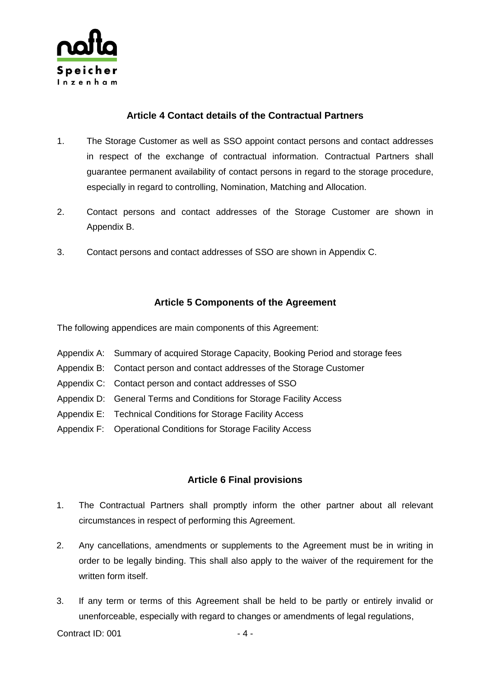

## **Article 4 Contact details of the Contractual Partners**

- 1. The Storage Customer as well as SSO appoint contact persons and contact addresses in respect of the exchange of contractual information. Contractual Partners shall guarantee permanent availability of contact persons in regard to the storage procedure, especially in regard to controlling, Nomination, Matching and Allocation.
- 2. Contact persons and contact addresses of the Storage Customer are shown in Appendix B.
- 3. Contact persons and contact addresses of SSO are shown in Appendix C.

# **Article 5 Components of the Agreement**

The following appendices are main components of this Agreement:

- Appendix A: Summary of acquired Storage Capacity, Booking Period and storage fees
- Appendix B: Contact person and contact addresses of the Storage Customer
- Appendix C: Contact person and contact addresses of SSO
- Appendix D: General Terms and Conditions for Storage Facility Access
- Appendix E: Technical Conditions for Storage Facility Access
- Appendix F: Operational Conditions for Storage Facility Access

# **Article 6 Final provisions**

- 1. The Contractual Partners shall promptly inform the other partner about all relevant circumstances in respect of performing this Agreement.
- 2. Any cancellations, amendments or supplements to the Agreement must be in writing in order to be legally binding. This shall also apply to the waiver of the requirement for the written form itself.
- 3. If any term or terms of this Agreement shall be held to be partly or entirely invalid or unenforceable, especially with regard to changes or amendments of legal regulations,

Contract ID: 001 - 4 -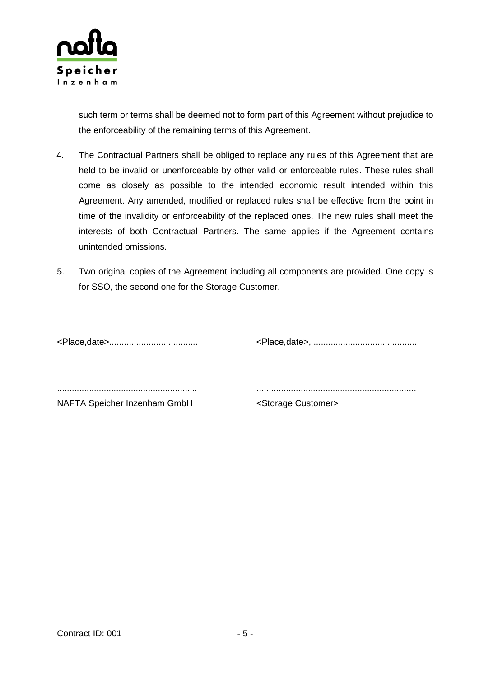

such term or terms shall be deemed not to form part of this Agreement without prejudice to the enforceability of the remaining terms of this Agreement.

- 4. The Contractual Partners shall be obliged to replace any rules of this Agreement that are held to be invalid or unenforceable by other valid or enforceable rules. These rules shall come as closely as possible to the intended economic result intended within this Agreement. Any amended, modified or replaced rules shall be effective from the point in time of the invalidity or enforceability of the replaced ones. The new rules shall meet the interests of both Contractual Partners. The same applies if the Agreement contains unintended omissions.
- 5. Two original copies of the Agreement including all components are provided. One copy is for SSO, the second one for the Storage Customer.

<Place,date>.................................... <Place,date>, ..........................................

......................................................... .................................................................

NAFTA Speicher Inzenham GmbH <Storage Customer>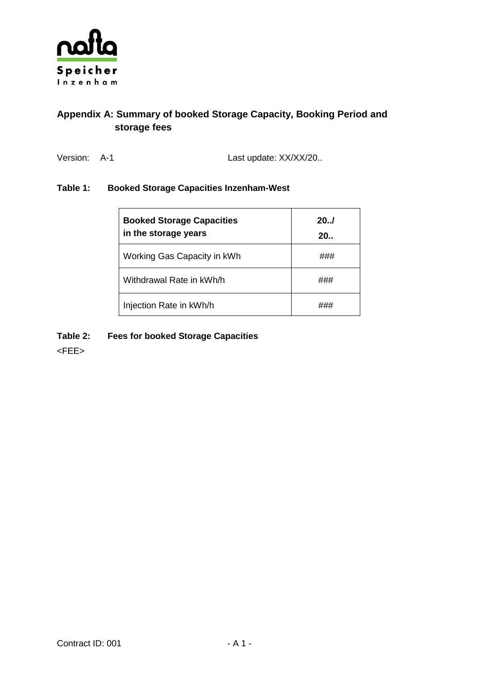

# **Appendix A: Summary of booked Storage Capacity, Booking Period and storage fees**

Version: A-1 Last update: XX/XX/20..

#### **Table 1: Booked Storage Capacities Inzenham-West**

| <b>Booked Storage Capacities</b><br>in the storage years | 20.1<br>20.1 |
|----------------------------------------------------------|--------------|
| Working Gas Capacity in kWh                              |              |
| Withdrawal Rate in kWh/h                                 |              |
| Injection Rate in kWh/h                                  |              |

#### **Table 2: Fees for booked Storage Capacities**

<FEE>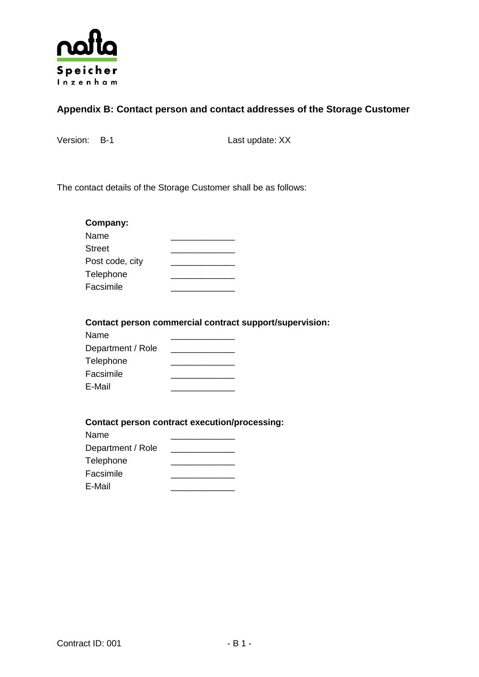

# **Appendix B: Contact person and contact addresses of the Storage Customer**

Version: B-1 Last update: XX

The contact details of the Storage Customer shall be as follows:

| Company:        |  |
|-----------------|--|
| Name            |  |
| <b>Street</b>   |  |
| Post code, city |  |
| Telephone       |  |
| Facsimile       |  |

**Contact person commercial contract support/supervision:**

| Name              |  |
|-------------------|--|
| Department / Role |  |
| Telephone         |  |
| Facsimile         |  |
| E-Mail            |  |

#### **Contact person contract execution/processing:**

| Name              |  |
|-------------------|--|
| Department / Role |  |
| Telephone         |  |
| Facsimile         |  |
| E-Mail            |  |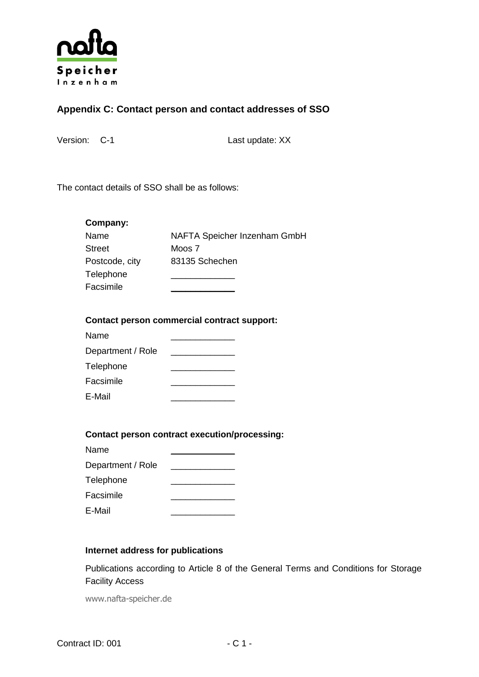

# **Appendix C: Contact person and contact addresses of SSO**

Version: C-1 Last update: XX

The contact details of SSO shall be as follows:

| Company:       |                              |
|----------------|------------------------------|
| Name           | NAFTA Speicher Inzenham GmbH |
| <b>Street</b>  | Moos 7                       |
| Postcode, city | 83135 Schechen               |
| Telephone      |                              |
| Facsimile      |                              |

#### **Contact person commercial contract support:**

| Name              |  |
|-------------------|--|
| Department / Role |  |
| Telephone         |  |
| Facsimile         |  |
| E-Mail            |  |

#### **Contact person contract execution/processing:**

| Name              |  |
|-------------------|--|
| Department / Role |  |
| Telephone         |  |
| Facsimile         |  |
| E-Mail            |  |

#### **Internet address for publications**

Publications according to Article 8 of the General Terms and Conditions for Storage Facility Access

www.nafta-speicher.de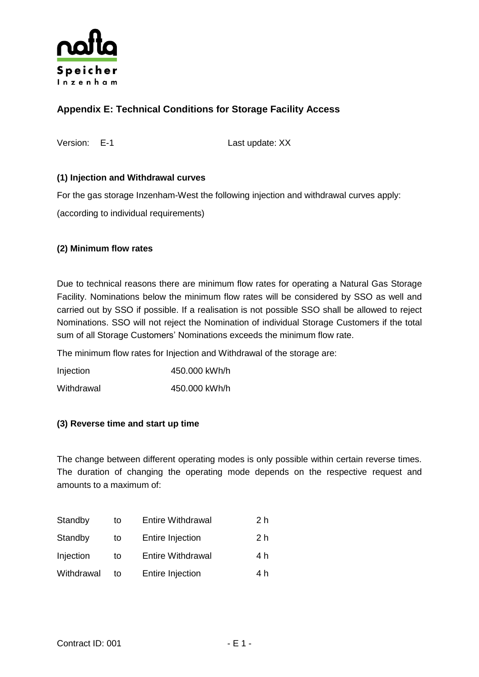

# **Appendix E: Technical Conditions for Storage Facility Access**

Version: E-1 Last update: XX

#### **(1) Injection and Withdrawal curves**

For the gas storage Inzenham-West the following injection and withdrawal curves apply:

(according to individual requirements)

#### **(2) Minimum flow rates**

Due to technical reasons there are minimum flow rates for operating a Natural Gas Storage Facility. Nominations below the minimum flow rates will be considered by SSO as well and carried out by SSO if possible. If a realisation is not possible SSO shall be allowed to reject Nominations. SSO will not reject the Nomination of individual Storage Customers if the total sum of all Storage Customers' Nominations exceeds the minimum flow rate.

The minimum flow rates for Injection and Withdrawal of the storage are:

| Injection  | 450,000 kWh/h |
|------------|---------------|
| Withdrawal | 450.000 kWh/h |

#### **(3) Reverse time and start up time**

The change between different operating modes is only possible within certain reverse times. The duration of changing the operating mode depends on the respective request and amounts to a maximum of:

| Standby    | to | <b>Entire Withdrawal</b> | 2 <sub>h</sub> |
|------------|----|--------------------------|----------------|
| Standby    | to | <b>Entire Injection</b>  | 2 h            |
| Injection  | to | <b>Entire Withdrawal</b> | 4 h            |
| Withdrawal | to | <b>Entire Injection</b>  | 4 h            |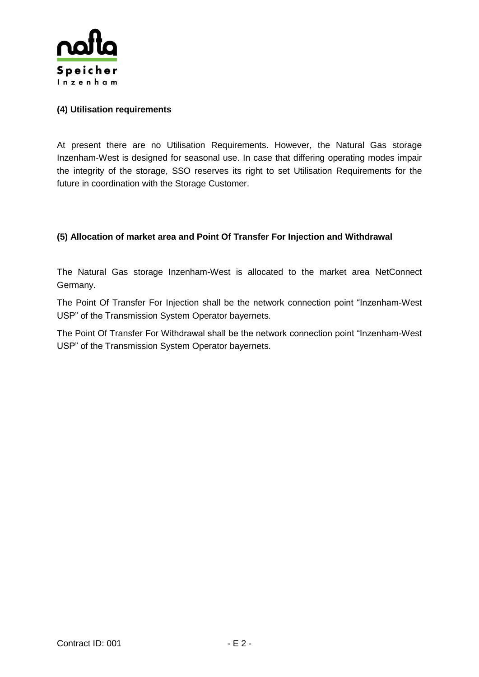

#### **(4) Utilisation requirements**

At present there are no Utilisation Requirements. However, the Natural Gas storage Inzenham-West is designed for seasonal use. In case that differing operating modes impair the integrity of the storage, SSO reserves its right to set Utilisation Requirements for the future in coordination with the Storage Customer.

#### **(5) Allocation of market area and Point Of Transfer For Injection and Withdrawal**

The Natural Gas storage Inzenham-West is allocated to the market area NetConnect Germany.

The Point Of Transfer For Injection shall be the network connection point "Inzenham-West USP" of the Transmission System Operator bayernets.

The Point Of Transfer For Withdrawal shall be the network connection point "Inzenham-West USP" of the Transmission System Operator bayernets.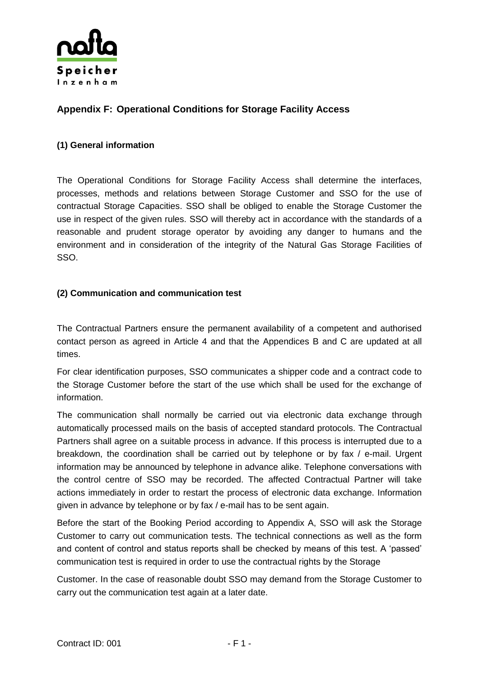

# **Appendix F: Operational Conditions for Storage Facility Access**

#### **(1) General information**

The Operational Conditions for Storage Facility Access shall determine the interfaces, processes, methods and relations between Storage Customer and SSO for the use of contractual Storage Capacities. SSO shall be obliged to enable the Storage Customer the use in respect of the given rules. SSO will thereby act in accordance with the standards of a reasonable and prudent storage operator by avoiding any danger to humans and the environment and in consideration of the integrity of the Natural Gas Storage Facilities of SSO.

#### **(2) Communication and communication test**

The Contractual Partners ensure the permanent availability of a competent and authorised contact person as agreed in Article 4 and that the Appendices B and C are updated at all times.

For clear identification purposes, SSO communicates a shipper code and a contract code to the Storage Customer before the start of the use which shall be used for the exchange of information.

The communication shall normally be carried out via electronic data exchange through automatically processed mails on the basis of accepted standard protocols. The Contractual Partners shall agree on a suitable process in advance. If this process is interrupted due to a breakdown, the coordination shall be carried out by telephone or by fax / e-mail. Urgent information may be announced by telephone in advance alike. Telephone conversations with the control centre of SSO may be recorded. The affected Contractual Partner will take actions immediately in order to restart the process of electronic data exchange. Information given in advance by telephone or by fax / e-mail has to be sent again.

Before the start of the Booking Period according to Appendix A, SSO will ask the Storage Customer to carry out communication tests. The technical connections as well as the form and content of control and status reports shall be checked by means of this test. A 'passed' communication test is required in order to use the contractual rights by the Storage

Customer. In the case of reasonable doubt SSO may demand from the Storage Customer to carry out the communication test again at a later date.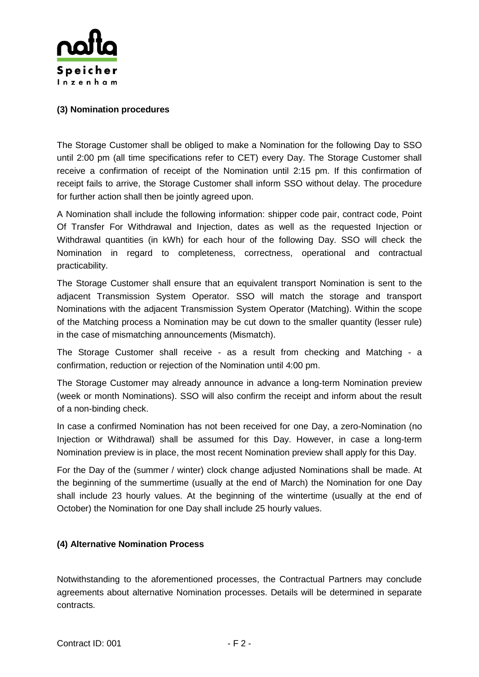

#### **(3) Nomination procedures**

The Storage Customer shall be obliged to make a Nomination for the following Day to SSO until 2:00 pm (all time specifications refer to CET) every Day. The Storage Customer shall receive a confirmation of receipt of the Nomination until 2:15 pm. If this confirmation of receipt fails to arrive, the Storage Customer shall inform SSO without delay. The procedure for further action shall then be jointly agreed upon.

A Nomination shall include the following information: shipper code pair, contract code, Point Of Transfer For Withdrawal and Injection, dates as well as the requested Injection or Withdrawal quantities (in kWh) for each hour of the following Day. SSO will check the Nomination in regard to completeness, correctness, operational and contractual practicability.

The Storage Customer shall ensure that an equivalent transport Nomination is sent to the adjacent Transmission System Operator. SSO will match the storage and transport Nominations with the adjacent Transmission System Operator (Matching). Within the scope of the Matching process a Nomination may be cut down to the smaller quantity (lesser rule) in the case of mismatching announcements (Mismatch).

The Storage Customer shall receive - as a result from checking and Matching - a confirmation, reduction or rejection of the Nomination until 4:00 pm.

The Storage Customer may already announce in advance a long-term Nomination preview (week or month Nominations). SSO will also confirm the receipt and inform about the result of a non-binding check.

In case a confirmed Nomination has not been received for one Day, a zero-Nomination (no Injection or Withdrawal) shall be assumed for this Day. However, in case a long-term Nomination preview is in place, the most recent Nomination preview shall apply for this Day.

For the Day of the (summer / winter) clock change adjusted Nominations shall be made. At the beginning of the summertime (usually at the end of March) the Nomination for one Day shall include 23 hourly values. At the beginning of the wintertime (usually at the end of October) the Nomination for one Day shall include 25 hourly values.

#### **(4) Alternative Nomination Process**

Notwithstanding to the aforementioned processes, the Contractual Partners may conclude agreements about alternative Nomination processes. Details will be determined in separate contracts.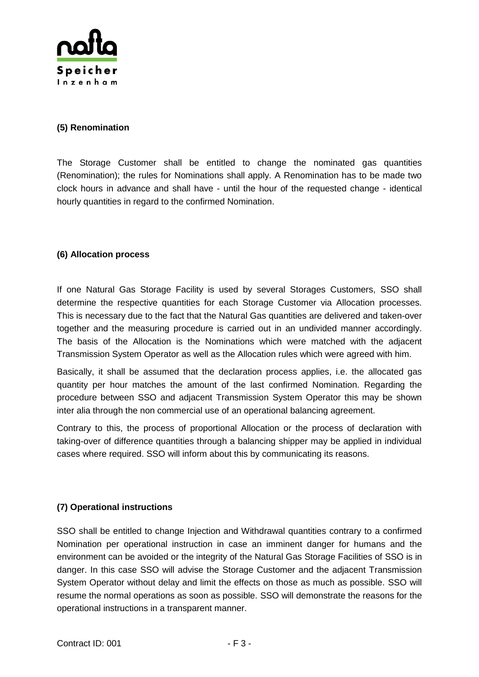

#### **(5) Renomination**

The Storage Customer shall be entitled to change the nominated gas quantities (Renomination); the rules for Nominations shall apply. A Renomination has to be made two clock hours in advance and shall have - until the hour of the requested change - identical hourly quantities in regard to the confirmed Nomination.

#### **(6) Allocation process**

If one Natural Gas Storage Facility is used by several Storages Customers, SSO shall determine the respective quantities for each Storage Customer via Allocation processes. This is necessary due to the fact that the Natural Gas quantities are delivered and taken-over together and the measuring procedure is carried out in an undivided manner accordingly. The basis of the Allocation is the Nominations which were matched with the adjacent Transmission System Operator as well as the Allocation rules which were agreed with him.

Basically, it shall be assumed that the declaration process applies, i.e. the allocated gas quantity per hour matches the amount of the last confirmed Nomination. Regarding the procedure between SSO and adjacent Transmission System Operator this may be shown inter alia through the non commercial use of an operational balancing agreement.

Contrary to this, the process of proportional Allocation or the process of declaration with taking-over of difference quantities through a balancing shipper may be applied in individual cases where required. SSO will inform about this by communicating its reasons.

#### **(7) Operational instructions**

SSO shall be entitled to change Injection and Withdrawal quantities contrary to a confirmed Nomination per operational instruction in case an imminent danger for humans and the environment can be avoided or the integrity of the Natural Gas Storage Facilities of SSO is in danger. In this case SSO will advise the Storage Customer and the adjacent Transmission System Operator without delay and limit the effects on those as much as possible. SSO will resume the normal operations as soon as possible. SSO will demonstrate the reasons for the operational instructions in a transparent manner.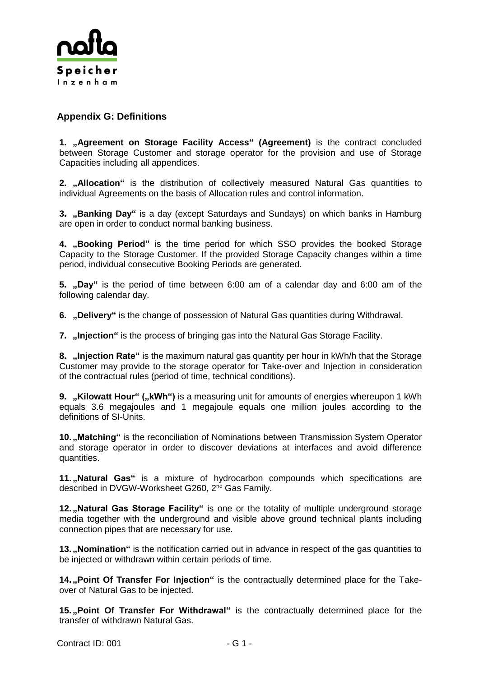

## **Appendix G: Definitions**

**1. "Agreement on Storage Facility Access" (Agreement)** is the contract concluded between Storage Customer and storage operator for the provision and use of Storage Capacities including all appendices.

**2. "Allocation"** is the distribution of collectively measured Natural Gas quantities to individual Agreements on the basis of Allocation rules and control information.

**3. ,Banking Day**" is a day (except Saturdays and Sundays) on which banks in Hamburg are open in order to conduct normal banking business.

**4. "Booking Period"** is the time period for which SSO provides the booked Storage Capacity to the Storage Customer. If the provided Storage Capacity changes within a time period, individual consecutive Booking Periods are generated.

**5. "Day"** is the period of time between 6:00 am of a calendar day and 6:00 am of the following calendar day.

**6. "Delivery"** is the change of possession of Natural Gas quantities during Withdrawal.

**7. "Injection"** is the process of bringing gas into the Natural Gas Storage Facility.

**8. "Injection Rate"** is the maximum natural gas quantity per hour in kWh/h that the Storage Customer may provide to the storage operator for Take-over and Injection in consideration of the contractual rules (period of time, technical conditions).

**9. "Kilowatt Hour" ("kWh")** is a measuring unit for amounts of energies whereupon 1 kWh equals 3.6 megajoules and 1 megajoule equals one million joules according to the definitions of SI-Units.

**10. , Matching**" is the reconciliation of Nominations between Transmission System Operator and storage operator in order to discover deviations at interfaces and avoid difference quantities.

11. "Natural Gas" is a mixture of hydrocarbon compounds which specifications are described in DVGW-Worksheet G260, 2<sup>nd</sup> Gas Family.

**12. "Natural Gas Storage Facility"** is one or the totality of multiple underground storage media together with the underground and visible above ground technical plants including connection pipes that are necessary for use.

13. **"Nomination**" is the notification carried out in advance in respect of the gas quantities to be injected or withdrawn within certain periods of time.

**14. "Point Of Transfer For Injection"** is the contractually determined place for the Takeover of Natural Gas to be injected.

15. "Point Of Transfer For Withdrawal" is the contractually determined place for the transfer of withdrawn Natural Gas.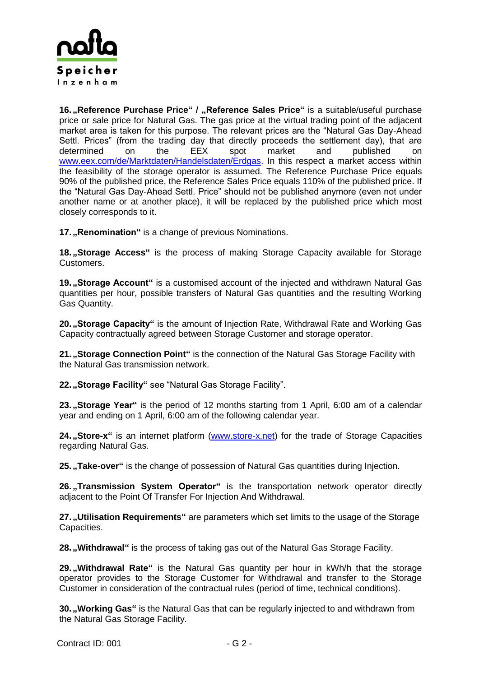

16. **"Reference Purchase Price" / "Reference Sales Price"** is a suitable/useful purchase price or sale price for Natural Gas. The gas price at the virtual trading point of the adjacent market area is taken for this purpose. The relevant prices are the "Natural Gas Day-Ahead Settl. Prices" (from the trading day that directly proceeds the settlement day), that are determined on the EEX spot market and published on [www.eex.com/de/Marktdaten/Handelsdaten/Erdgas.](http://www.eex.com/de/Marktdaten/Handelsdaten/Erdgas) In this respect a market access within the feasibility of the storage operator is assumed. The Reference Purchase Price equals 90% of the published price, the Reference Sales Price equals 110% of the published price. If the "Natural Gas Day-Ahead Settl. Price" should not be published anymore (even not under another name or at another place), it will be replaced by the published price which most closely corresponds to it.

17. **"Renomination"** is a change of previous Nominations.

**18. "Storage Access"** is the process of making Storage Capacity available for Storage Customers.

**19. "Storage Account"** is a customised account of the injected and withdrawn Natural Gas quantities per hour, possible transfers of Natural Gas quantities and the resulting Working Gas Quantity.

20. **"Storage Capacity"** is the amount of Injection Rate, Withdrawal Rate and Working Gas Capacity contractually agreed between Storage Customer and storage operator.

**21. "Storage Connection Point"** is the connection of the Natural Gas Storage Facility with the Natural Gas transmission network.

**22. "Storage Facility"** see "Natural Gas Storage Facility".

**23. "Storage Year"** is the period of 12 months starting from 1 April, 6:00 am of a calendar year and ending on 1 April, 6:00 am of the following calendar year.

**24. "Store-x**" is an internet platform [\(www.store-x.net\)](http://www.store-x.net/) for the trade of Storage Capacities regarding Natural Gas.

25. "Take-over" is the change of possession of Natural Gas quantities during Injection.

**26. "Transmission System Operator"** is the transportation network operator directly adjacent to the Point Of Transfer For Injection And Withdrawal.

**27. Utilisation Requirements**" are parameters which set limits to the usage of the Storage Capacities.

28. **Withdrawal**" is the process of taking gas out of the Natural Gas Storage Facility.

**29. "Withdrawal Rate"** is the Natural Gas quantity per hour in kWh/h that the storage operator provides to the Storage Customer for Withdrawal and transfer to the Storage Customer in consideration of the contractual rules (period of time, technical conditions).

**30. "Working Gas"** is the Natural Gas that can be regularly injected to and withdrawn from the Natural Gas Storage Facility.